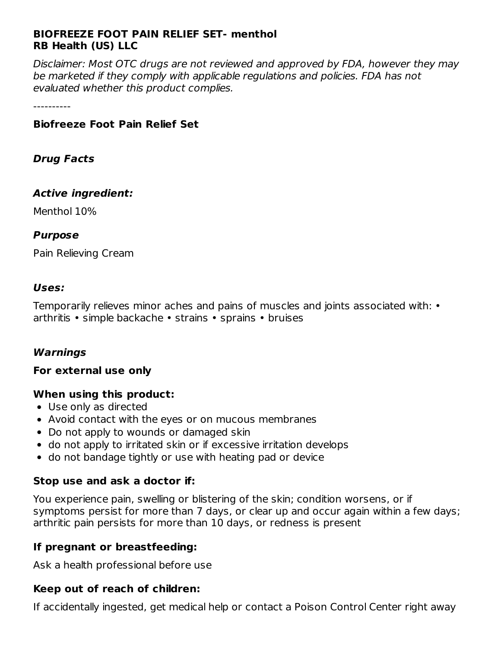### **BIOFREEZE FOOT PAIN RELIEF SET- menthol RB Health (US) LLC**

Disclaimer: Most OTC drugs are not reviewed and approved by FDA, however they may be marketed if they comply with applicable regulations and policies. FDA has not evaluated whether this product complies.

----------

#### **Biofreeze Foot Pain Relief Set**

#### **Drug Facts**

#### **Active ingredient:**

Menthol 10%

#### **Purpose**

Pain Relieving Cream

#### **Uses:**

Temporarily relieves minor aches and pains of muscles and joints associated with: • arthritis • simple backache • strains • sprains • bruises

### **Warnings**

#### **For external use only**

#### **When using this product:**

- Use only as directed
- Avoid contact with the eyes or on mucous membranes
- Do not apply to wounds or damaged skin
- do not apply to irritated skin or if excessive irritation develops
- do not bandage tightly or use with heating pad or device

#### **Stop use and ask a doctor if:**

You experience pain, swelling or blistering of the skin; condition worsens, or if symptoms persist for more than 7 days, or clear up and occur again within a few days; arthritic pain persists for more than 10 days, or redness is present

#### **If pregnant or breastfeeding:**

Ask a health professional before use

### **Keep out of reach of children:**

If accidentally ingested, get medical help or contact a Poison Control Center right away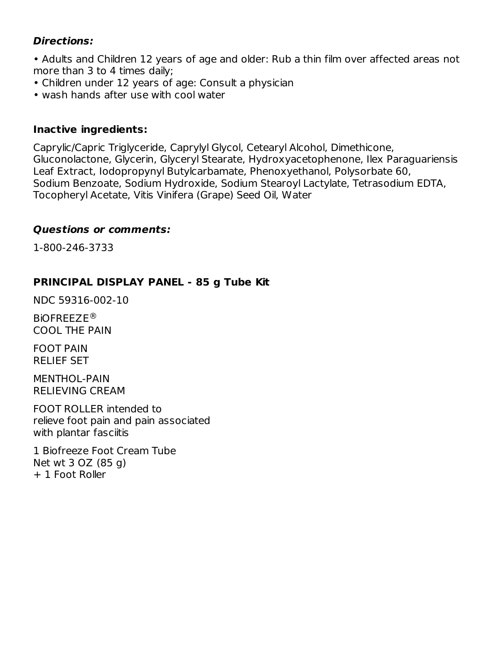### **Directions:**

• Adults and Children 12 years of age and older: Rub a thin film over affected areas not more than 3 to 4 times daily;

- Children under 12 years of age: Consult a physician
- wash hands after use with cool water

### **Inactive ingredients:**

Caprylic/Capric Triglyceride, Caprylyl Glycol, Cetearyl Alcohol, Dimethicone, Gluconolactone, Glycerin, Glyceryl Stearate, Hydroxyacetophenone, Ilex Paraguariensis Leaf Extract, Iodopropynyl Butylcarbamate, Phenoxyethanol, Polysorbate 60, Sodium Benzoate, Sodium Hydroxide, Sodium Stearoyl Lactylate, Tetrasodium EDTA, Tocopheryl Acetate, Vitis Vinifera (Grape) Seed Oil, Water

### **Questions or comments:**

1-800-246-3733

### **PRINCIPAL DISPLAY PANEL - 85 g Tube Kit**

NDC 59316-002-10

BiOFREEZE ®COOL THE PAIN

FOOT PAIN RELIEF SET

MENTHOL-PAIN RELIEVING CREAM

FOOT ROLLER intended to relieve foot pain and pain associated with plantar fasciitis

1 Biofreeze Foot Cream Tube Net wt 3 OZ (85 g) + 1 Foot Roller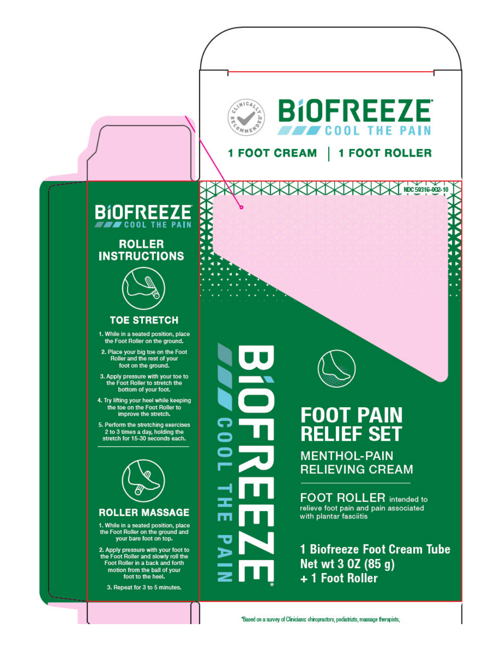

NDC 59316-002-10

**1 FOOT ROLLER 1 FOOT CREAM** 



### **ROLLER INSTRUCTIONS**

### **TOE STRETCH**

1. While in a seated position, place the Foot Roller on the ground.

2. Place your big toe on the Foot<br>Roller and the rest of your foot on the ground.

3. Apply pressure with your toe to<br>the Foot Roller to stretch the bottom of your foot.

4. Try lifting your heel while keeping the toe on the Foot Roller to improve the stretch.

5. Perform the stretching exercises 2 to 3 times a day, holding the<br>stretch for 15-30 seconds each.



#### **ROLLER MASSAGE**

1. While in a seated position, place<br>the Foot Roller on the ground and your bare foot on top.

2. Apply pressure with your foot to the Foot Roller and slowly roll the Foot Roller in a back and forth motion from the ball of your foot to the heel.

3. Repeat for 3 to 5 minutes.



# **FOOT PAIN RELIEF SET**

**MENTHOL-PAIN RELIEVING CREAM** 

**FOOT ROLLER** intended to relieve foot pain and pain associated with plantar fasciitis

**1 Biofreeze Foot Cream Tube** Net wt 3 0Z (85 g) + 1 Foot Roller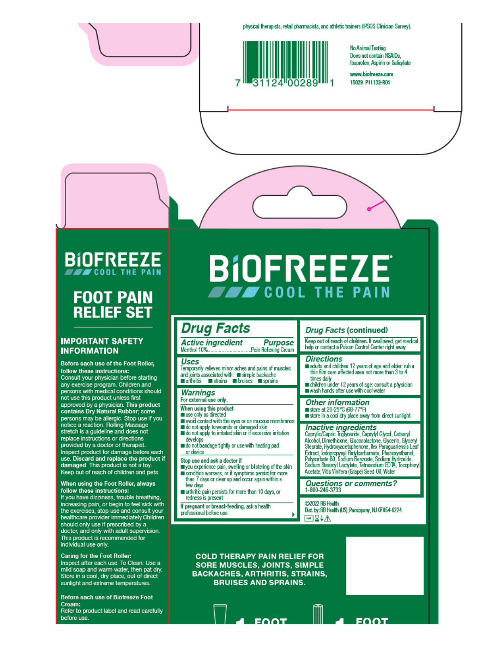physical therapists, retail pharmacists, and athletic trainers (IPSOS Clinician Survey).



**No Animal Testing** Does not contain NSAIDs, Ibuprofen, Aspirin or Salicylate

www.biofreeze.com 15029 P11132-R04

### **BIOFREEZE COOL THE PAI**

# **FOOT PAIN RELIEF SET**

#### **IMPORTANT SAFETY INFORMATION**

Before each use of the Foot Roller, follow these instructions: Consult your physician before starting any exercise program. Children and<br>persons with medical conditions should not use this product unless first approved by a physician. This product contains Dry Natural Rubber; some persons may be allergic. Stop use if you<br>notice a reaction. Rolling Massage stretch is a guideline and does not replace instructions or directions. provided by a doctor or therapist Inspect product for damage before each use. Discard and replace the product if damaged. This product is not a toy. Keep out of reach of children and pets.

#### When using the Foot Roller, always follow these instructions:

If you have dizziness, trouble breathing, increasing pain, or begin to feel sick with the exercises, stop use and consult your healthcare provider immediately.Children should only use if prescribed by a doctor, and only with adult supervision. This product is recommended for individual use only.

#### Caring for the Foot Roller:

Inspect after each use. To Clean: Use a mild soap and warm water, then pat dry. Store in a cool, dry place, out of direct sunlight and extreme temperatures.

Before each use of Biofreeze Foot Cream:

Refer to product label and read carefully before use

# **BIOFREEZE FEW COOL THE PAIN**

## **Drug Facts**

**Active ingredient Purpose** 

#### Uses

Temporarily relieves minor aches and pains of muscles and joints associated with: simple backache arthritis strains bruises strains

#### **Warnings**

- For external use only.
- When using this product
- use only as drected
- avoid contact with the eyes or on mucous membranes<br>and o not apply to wounds or damaged skin
- o do not apply to irritated skin or if excessive irritation develops
- do not bandage tightly or use with heating pad or device

#### Stop use and ask a doctor if

- you experience pain, swelling or bistering of the skin condition worsens, or if symptoms persist for more than 7 days or clear up and occur again within a
- few days arthritic pain persists for more than 10 days, or
- redness is present
- If pregnant or breast-feeding, ask a health

professional before use.

#### **Drug Facts (continued)**

Keep out of reach of children. If swallowed, get medical help or contact a Poison Control Center right away.

#### **Directions**

- adults and children 12 years of age and older: rub a thin film over affected area not more than 3 to 4 times daily
- allies daily<br>children under 12 years of age: consult a physician<br>wash hands after use with cool water

#### **Other information**

store at 20-25°C (68-77°F)<br>store at 20-25°C (68-77°F)<br>store in a cool dry place away from direct sunlight

**Inactive ingredients**<br>Caprylic/Capric Triglyceride, Caprylyl Glycol, Cetearyl<br>Alcohol, Dimethicone, Gluconolactone, Glycerin, Glyceryl<br>Stearate, Hydroxyacetophenone, Ilex Panaguariensis Leaf Schwart, Iodopropynyl Butylcarbarnate, Phenoxyethand,<br>Polysorbate 60, Sodium Benzoate, Sodium Hydroxide,<br>Sodium Stearcyl Lactylate, Tetrasodium EDTA, Tocopheryl Acetate, Vitis Vinifera (Grape) Seed Oil, Water

#### **Questions or comments?** 1-800-246-3733

@2022 RB Health Dist. by: RB Health (US), Parsippany, NJ 07054-0224  $M \geq 4$ 

**FOOT** 

**COLD THERAPY PAIN RELIEF FOR SORE MUSCLES, JOINTS, SIMPLE BACKACHES, ARTHRITIS, STRAINS, BRUISES AND SPRAINS.**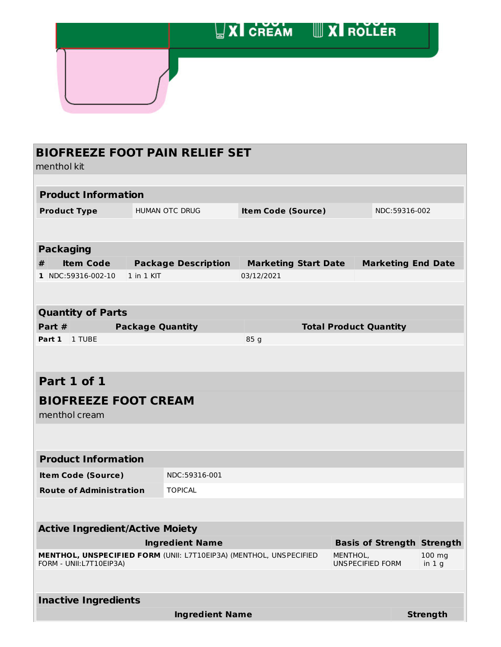|  | <b>XI CREAM WXI ROLLER</b> |  |
|--|----------------------------|--|
|  |                            |  |

# **BIOFREEZE FOOT PAIN RELIEF SET**

menthol kit

| <b>Product Information</b>                                                                    |                         |                            |                             |                                     |               |                           |
|-----------------------------------------------------------------------------------------------|-------------------------|----------------------------|-----------------------------|-------------------------------------|---------------|---------------------------|
| <b>Product Type</b>                                                                           | HUMAN OTC DRUG          |                            | <b>Item Code (Source)</b>   |                                     | NDC:59316-002 |                           |
|                                                                                               |                         |                            |                             |                                     |               |                           |
|                                                                                               |                         |                            |                             |                                     |               |                           |
| <b>Packaging</b>                                                                              |                         |                            |                             |                                     |               |                           |
| <b>Item Code</b><br>#                                                                         |                         | <b>Package Description</b> | <b>Marketing Start Date</b> |                                     |               | <b>Marketing End Date</b> |
| 1 NDC:59316-002-10                                                                            | 1 in 1 KIT              |                            | 03/12/2021                  |                                     |               |                           |
|                                                                                               |                         |                            |                             |                                     |               |                           |
| <b>Quantity of Parts</b>                                                                      |                         |                            |                             |                                     |               |                           |
| Part #                                                                                        | <b>Package Quantity</b> |                            |                             | <b>Total Product Quantity</b>       |               |                           |
| Part 1<br>1 TUBE                                                                              |                         |                            | 85 g                        |                                     |               |                           |
|                                                                                               |                         |                            |                             |                                     |               |                           |
|                                                                                               |                         |                            |                             |                                     |               |                           |
| Part 1 of 1                                                                                   |                         |                            |                             |                                     |               |                           |
| <b>BIOFREEZE FOOT CREAM</b>                                                                   |                         |                            |                             |                                     |               |                           |
| menthol cream                                                                                 |                         |                            |                             |                                     |               |                           |
|                                                                                               |                         |                            |                             |                                     |               |                           |
|                                                                                               |                         |                            |                             |                                     |               |                           |
| <b>Product Information</b>                                                                    |                         |                            |                             |                                     |               |                           |
| <b>Item Code (Source)</b>                                                                     |                         | NDC:59316-001              |                             |                                     |               |                           |
| <b>Route of Administration</b>                                                                |                         | <b>TOPICAL</b>             |                             |                                     |               |                           |
|                                                                                               |                         |                            |                             |                                     |               |                           |
|                                                                                               |                         |                            |                             |                                     |               |                           |
| <b>Active Ingredient/Active Moiety</b>                                                        |                         |                            |                             |                                     |               |                           |
|                                                                                               |                         | <b>Ingredient Name</b>     |                             | <b>Basis of Strength Strength</b>   |               |                           |
| MENTHOL, UNSPECIFIED FORM (UNII: L7T10EIP3A) (MENTHOL, UNSPECIFIED<br>FORM - UNII:L7T10EIP3A) |                         |                            |                             | MENTHOL,<br><b>UNSPECIFIED FORM</b> |               | 100 mg<br>in $1g$         |
|                                                                                               |                         |                            |                             |                                     |               |                           |
|                                                                                               |                         |                            |                             |                                     |               |                           |
| <b>Inactive Ingredients</b>                                                                   |                         |                            |                             |                                     |               |                           |
|                                                                                               |                         | <b>Ingredient Name</b>     |                             |                                     |               | <b>Strength</b>           |